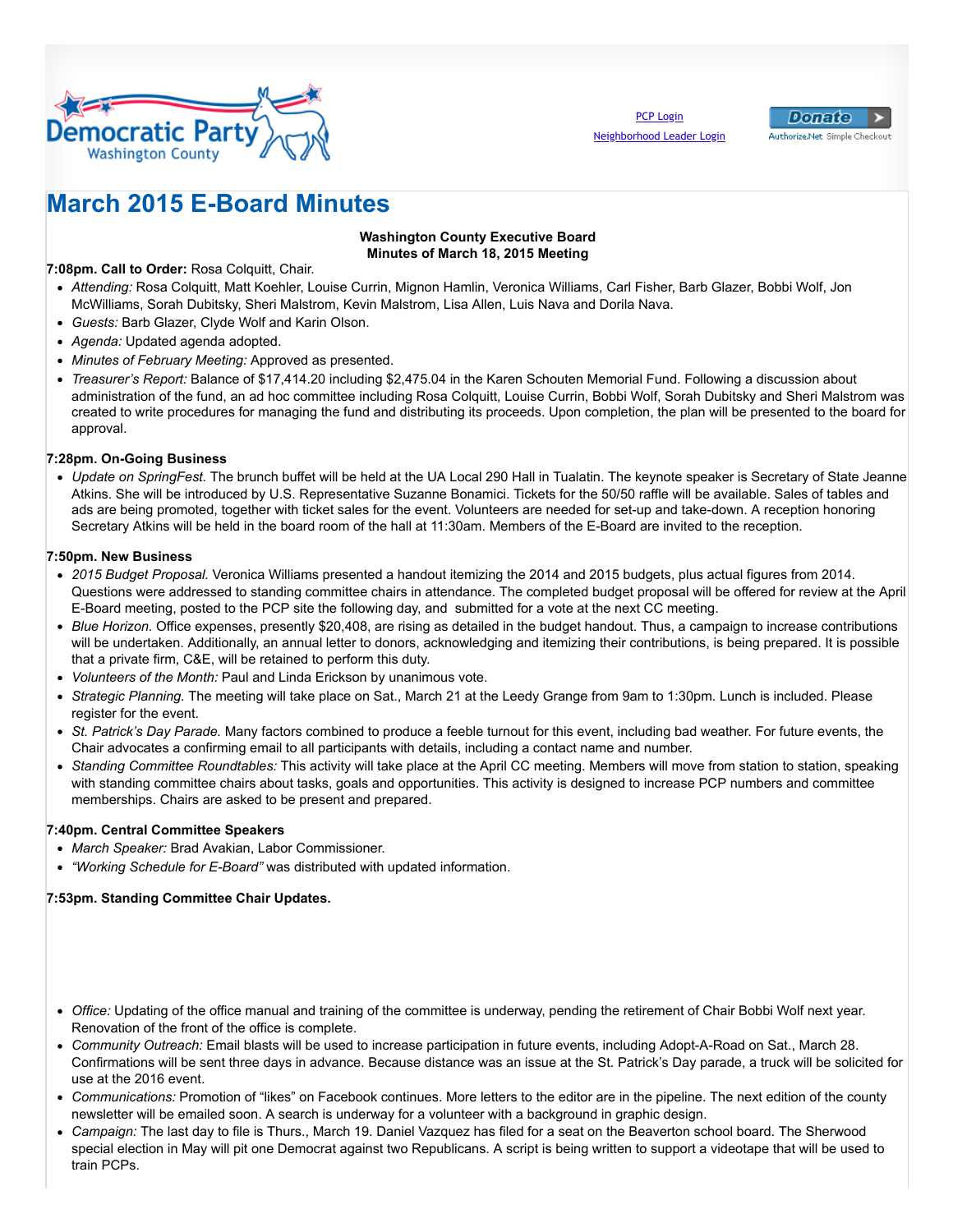



# **March 2015 E-Board Minutes**

## **Washington County Executive Board Minutes of March 18, 2015 Meeting**

**7:08pm. Call to Order:** Rosa Colquitt, Chair.

- *Attending:* Rosa Colquitt, Matt Koehler, Louise Currin, Mignon Hamlin, Veronica Williams, Carl Fisher, Barb Glazer, Bobbi Wolf, Jon McWilliams, Sorah Dubitsky, Sheri Malstrom, Kevin Malstrom, Lisa Allen, Luis Nava and Dorila Nava.
- *Guests:* Barb Glazer, Clyde Wolf and Karin Olson.
- *Agenda:* Updated agenda adopted.
- *Minutes of February Meeting:* Approved as presented.
- *Treasurer's Report:* Balance of \$17,414.20 including \$2,475.04 in the Karen Schouten Memorial Fund. Following a discussion about administration of the fund, an ad hoc committee including Rosa Colquitt, Louise Currin, Bobbi Wolf, Sorah Dubitsky and Sheri Malstrom was created to write procedures for managing the fund and distributing its proceeds. Upon completion, the plan will be presented to the board for approval.

## **7:28pm. On-Going Business**

*Update on SpringFest.* The brunch buffet will be held at the UA Local 290 Hall in Tualatin. The keynote speaker is Secretary of State Jeanne Atkins. She will be introduced by U.S. Representative Suzanne Bonamici. Tickets for the 50/50 raffle will be available. Sales of tables and ads are being promoted, together with ticket sales for the event. Volunteers are needed for set-up and take-down. A reception honoring Secretary Atkins will be held in the board room of the hall at 11:30am. Members of the E-Board are invited to the reception.

#### **7:50pm. New Business**

- *2015 Budget Proposal.* Veronica Williams presented a handout itemizing the 2014 and 2015 budgets, plus actual figures from 2014. Questions were addressed to standing committee chairs in attendance. The completed budget proposal will be offered for review at the April E-Board meeting, posted to the PCP site the following day, and submitted for a vote at the next CC meeting.
- *Blue Horizon.* Office expenses, presently \$20,408, are rising as detailed in the budget handout. Thus, a campaign to increase contributions will be undertaken. Additionally, an annual letter to donors, acknowledging and itemizing their contributions, is being prepared. It is possible that a private firm, C&E, will be retained to perform this duty.
- *Volunteers of the Month:* Paul and Linda Erickson by unanimous vote.
- *Strategic Planning.* The meeting will take place on Sat., March 21 at the Leedy Grange from 9am to 1:30pm. Lunch is included. Please register for the event.
- *St. Patrick's Day Parade.* Many factors combined to produce a feeble turnout for this event, including bad weather. For future events, the Chair advocates a confirming email to all participants with details, including a contact name and number.
- *Standing Committee Roundtables:* This activity will take place at the April CC meeting. Members will move from station to station, speaking with standing committee chairs about tasks, goals and opportunities. This activity is designed to increase PCP numbers and committee memberships. Chairs are asked to be present and prepared.

# **7:40pm. Central Committee Speakers**

- *March Speaker:* Brad Avakian, Labor Commissioner.
- *"Working Schedule for E-Board"* was distributed with updated information.

#### **7:53pm. Standing Committee Chair Updates.**

- *Office:* Updating of the office manual and training of the committee is underway, pending the retirement of Chair Bobbi Wolf next year. Renovation of the front of the office is complete.
- *Community Outreach:* Email blasts will be used to increase participation in future events, including Adopt-A-Road on Sat., March 28. Confirmations will be sent three days in advance. Because distance was an issue at the St. Patrick's Day parade, a truck will be solicited for use at the 2016 event.
- *Communications:* Promotion of "likes" on Facebook continues. More letters to the editor are in the pipeline. The next edition of the county newsletter will be emailed soon. A search is underway for a volunteer with a background in graphic design.
- *Campaign:* The last day to file is Thurs., March 19. Daniel Vazquez has filed for a seat on the Beaverton school board. The Sherwood special election in May will pit one Democrat against two Republicans. A script is being written to support a videotape that will be used to train PCPs.